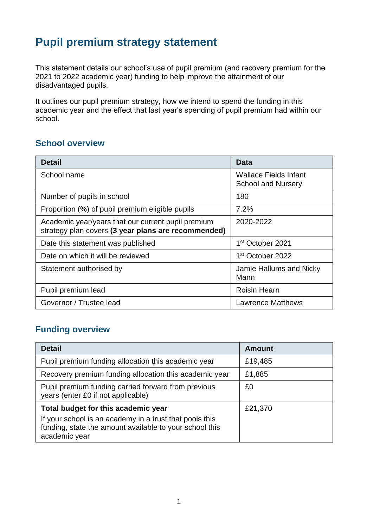# **Pupil premium strategy statement**

This statement details our school's use of pupil premium (and recovery premium for the 2021 to 2022 academic year) funding to help improve the attainment of our disadvantaged pupils.

It outlines our pupil premium strategy, how we intend to spend the funding in this academic year and the effect that last year's spending of pupil premium had within our school.

## **School overview**

| <b>Detail</b>                                                                                             | <b>Data</b>                                               |
|-----------------------------------------------------------------------------------------------------------|-----------------------------------------------------------|
| School name                                                                                               | <b>Wallace Fields Infant</b><br><b>School and Nursery</b> |
| Number of pupils in school                                                                                | 180                                                       |
| Proportion (%) of pupil premium eligible pupils                                                           | 7.2%                                                      |
| Academic year/years that our current pupil premium<br>strategy plan covers (3 year plans are recommended) | 2020-2022                                                 |
| Date this statement was published                                                                         | 1 <sup>st</sup> October 2021                              |
| Date on which it will be reviewed                                                                         | 1st October 2022                                          |
| Statement authorised by                                                                                   | Jamie Hallums and Nicky<br>Mann                           |
| Pupil premium lead                                                                                        | <b>Roisin Hearn</b>                                       |
| Governor / Trustee lead                                                                                   | <b>Lawrence Matthews</b>                                  |

# **Funding overview**

| <b>Detail</b>                                                                                                                                                              | <b>Amount</b> |
|----------------------------------------------------------------------------------------------------------------------------------------------------------------------------|---------------|
| Pupil premium funding allocation this academic year                                                                                                                        | £19,485       |
| Recovery premium funding allocation this academic year                                                                                                                     | £1,885        |
| Pupil premium funding carried forward from previous<br>years (enter £0 if not applicable)                                                                                  | £0            |
| Total budget for this academic year<br>If your school is an academy in a trust that pools this<br>funding, state the amount available to your school this<br>academic year | £21,370       |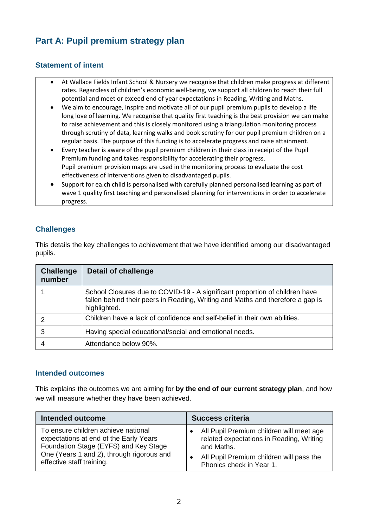# **Part A: Pupil premium strategy plan**

#### **Statement of intent**

- At Wallace Fields Infant School & Nursery we recognise that children make progress at different rates. Regardless of children's economic well-being, we support all children to reach their full potential and meet or exceed end of year expectations in Reading, Writing and Maths.
- We aim to encourage, inspire and motivate all of our pupil premium pupils to develop a life long love of learning. We recognise that quality first teaching is the best provision we can make to raise achievement and this is closely monitored using a triangulation monitoring process through scrutiny of data, learning walks and book scrutiny for our pupil premium children on a regular basis. The purpose of this funding is to accelerate progress and raise attainment.
- Every teacher is aware of the pupil premium children in their class in receipt of the Pupil Premium funding and takes responsibility for accelerating their progress. Pupil premium provision maps are used in the monitoring process to evaluate the cost effectiveness of interventions given to disadvantaged pupils.
- Support for ea.ch child is personalised with carefully planned personalised learning as part of wave 1 quality first teaching and personalised planning for interventions in order to accelerate progress.

#### **Challenges**

This details the key challenges to achievement that we have identified among our disadvantaged pupils.

| <b>Challenge</b><br>number | <b>Detail of challenge</b>                                                                                                                                                    |
|----------------------------|-------------------------------------------------------------------------------------------------------------------------------------------------------------------------------|
|                            | School Closures due to COVID-19 - A significant proportion of children have<br>fallen behind their peers in Reading, Writing and Maths and therefore a gap is<br>highlighted. |
|                            | Children have a lack of confidence and self-belief in their own abilities.                                                                                                    |
| 3                          | Having special educational/social and emotional needs.                                                                                                                        |
|                            | Attendance below 90%.                                                                                                                                                         |

#### **Intended outcomes**

This explains the outcomes we are aiming for **by the end of our current strategy plan**, and how we will measure whether they have been achieved.

| <b>Intended outcome</b>                   | <b>Success criteria</b>                  |
|-------------------------------------------|------------------------------------------|
| To ensure children achieve national       | All Pupil Premium children will meet age |
| expectations at end of the Early Years    | related expectations in Reading, Writing |
| Foundation Stage (EYFS) and Key Stage     | and Maths.                               |
| One (Years 1 and 2), through rigorous and | All Pupil Premium children will pass the |
| effective staff training.                 | Phonics check in Year 1.                 |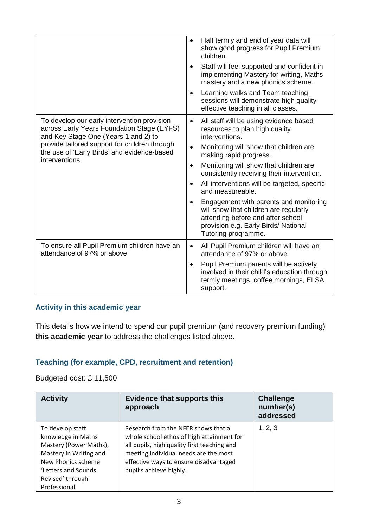|                                                                                                                                                                                                                                                     | Half termly and end of year data will<br>show good progress for Pupil Premium<br>children.<br>Staff will feel supported and confident in<br>$\bullet$<br>implementing Mastery for writing, Maths<br>mastery and a new phonics scheme.<br>Learning walks and Team teaching<br>sessions will demonstrate high quality<br>effective teaching in all classes.                                                                                                                                                                                                             |
|-----------------------------------------------------------------------------------------------------------------------------------------------------------------------------------------------------------------------------------------------------|-----------------------------------------------------------------------------------------------------------------------------------------------------------------------------------------------------------------------------------------------------------------------------------------------------------------------------------------------------------------------------------------------------------------------------------------------------------------------------------------------------------------------------------------------------------------------|
| To develop our early intervention provision<br>across Early Years Foundation Stage (EYFS)<br>and Key Stage One (Years 1 and 2) to<br>provide tailored support for children through<br>the use of 'Early Birds' and evidence-based<br>interventions. | All staff will be using evidence based<br>$\bullet$<br>resources to plan high quality<br>interventions.<br>Monitoring will show that children are<br>$\bullet$<br>making rapid progress.<br>Monitoring will show that children are<br>$\bullet$<br>consistently receiving their intervention.<br>All interventions will be targeted, specific<br>$\bullet$<br>and measureable.<br>Engagement with parents and monitoring<br>will show that children are regularly<br>attending before and after school<br>provision e.g. Early Birds/ National<br>Tutoring programme. |
| To ensure all Pupil Premium children have an<br>attendance of 97% or above.                                                                                                                                                                         | All Pupil Premium children will have an<br>$\bullet$<br>attendance of 97% or above.<br>Pupil Premium parents will be actively<br>$\bullet$<br>involved in their child's education through<br>termly meetings, coffee mornings, ELSA<br>support.                                                                                                                                                                                                                                                                                                                       |

#### **Activity in this academic year**

This details how we intend to spend our pupil premium (and recovery premium funding) **this academic year** to address the challenges listed above.

#### **Teaching (for example, CPD, recruitment and retention)**

Budgeted cost: £ 11,500

| <b>Activity</b>                                                                                                                                                             | <b>Evidence that supports this</b><br>approach                                                                                                                                                                                                | <b>Challenge</b><br>number(s)<br>addressed |
|-----------------------------------------------------------------------------------------------------------------------------------------------------------------------------|-----------------------------------------------------------------------------------------------------------------------------------------------------------------------------------------------------------------------------------------------|--------------------------------------------|
| To develop staff<br>knowledge in Maths<br>Mastery (Power Maths),<br>Mastery in Writing and<br>New Phonics scheme<br>'Letters and Sounds<br>Revised' through<br>Professional | Research from the NFER shows that a<br>whole school ethos of high attainment for<br>all pupils, high quality first teaching and<br>meeting individual needs are the most<br>effective ways to ensure disadvantaged<br>pupil's achieve highly. | 1, 2, 3                                    |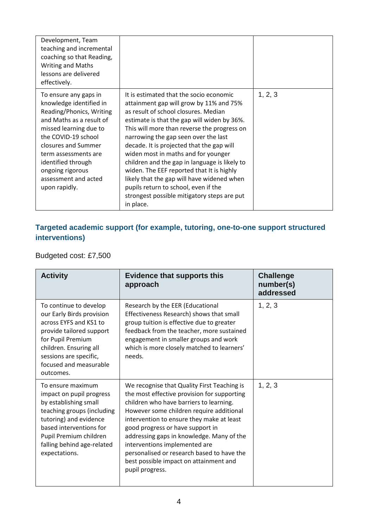| Development, Team<br>teaching and incremental<br>coaching so that Reading,<br><b>Writing and Maths</b><br>lessons are delivered<br>effectively.                                                                                                                                             |                                                                                                                                                                                                                                                                                                                                                                                                                                                                                                                                                                                                      |         |
|---------------------------------------------------------------------------------------------------------------------------------------------------------------------------------------------------------------------------------------------------------------------------------------------|------------------------------------------------------------------------------------------------------------------------------------------------------------------------------------------------------------------------------------------------------------------------------------------------------------------------------------------------------------------------------------------------------------------------------------------------------------------------------------------------------------------------------------------------------------------------------------------------------|---------|
| To ensure any gaps in<br>knowledge identified in<br>Reading/Phonics, Writing<br>and Maths as a result of<br>missed learning due to<br>the COVID-19 school<br>closures and Summer<br>term assessments are<br>identified through<br>ongoing rigorous<br>assessment and acted<br>upon rapidly. | It is estimated that the socio economic<br>attainment gap will grow by 11% and 75%<br>as result of school closures. Median<br>estimate is that the gap will widen by 36%.<br>This will more than reverse the progress on<br>narrowing the gap seen over the last<br>decade. It is projected that the gap will<br>widen most in maths and for younger<br>children and the gap in language is likely to<br>widen. The EEF reported that It is highly<br>likely that the gap will have widened when<br>pupils return to school, even if the<br>strongest possible mitigatory steps are put<br>in place. | 1, 2, 3 |

### **Targeted academic support (for example, tutoring, one-to-one support structured interventions)**

Budgeted cost: £7,500

| <b>Activity</b>                                                                                                                                                                                                                    | <b>Evidence that supports this</b><br>approach                                                                                                                                                                                                                                                                                                                                                                                                              | <b>Challenge</b><br>number(s)<br>addressed |
|------------------------------------------------------------------------------------------------------------------------------------------------------------------------------------------------------------------------------------|-------------------------------------------------------------------------------------------------------------------------------------------------------------------------------------------------------------------------------------------------------------------------------------------------------------------------------------------------------------------------------------------------------------------------------------------------------------|--------------------------------------------|
| To continue to develop<br>our Early Birds provision<br>across EYFS and KS1 to<br>provide tailored support<br>for Pupil Premium<br>children. Ensuring all<br>sessions are specific,<br>focused and measurable<br>outcomes.          | Research by the EER (Educational<br>Effectiveness Research) shows that small<br>group tuition is effective due to greater<br>feedback from the teacher, more sustained<br>engagement in smaller groups and work<br>which is more closely matched to learners'<br>needs.                                                                                                                                                                                     | 1, 2, 3                                    |
| To ensure maximum<br>impact on pupil progress<br>by establishing small<br>teaching groups (including<br>tutoring) and evidence<br>based interventions for<br>Pupil Premium children<br>falling behind age-related<br>expectations. | We recognise that Quality First Teaching is<br>the most effective provision for supporting<br>children who have barriers to learning.<br>However some children require additional<br>intervention to ensure they make at least<br>good progress or have support in<br>addressing gaps in knowledge. Many of the<br>interventions implemented are<br>personalised or research based to have the<br>best possible impact on attainment and<br>pupil progress. | 1, 2, 3                                    |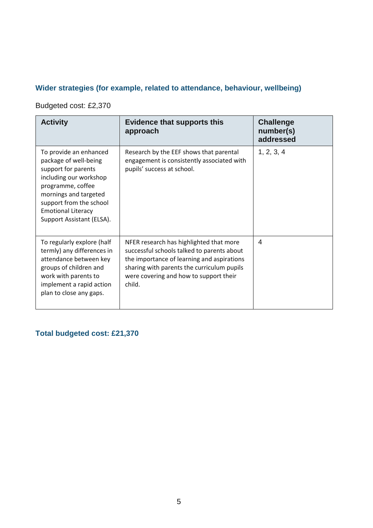## **Wider strategies (for example, related to attendance, behaviour, wellbeing)**

Budgeted cost: £2,370

| <b>Activity</b>                                                                                                                                                                                                                     | <b>Evidence that supports this</b><br>approach                                                                                                                                                                                        | <b>Challenge</b><br>number(s)<br>addressed |
|-------------------------------------------------------------------------------------------------------------------------------------------------------------------------------------------------------------------------------------|---------------------------------------------------------------------------------------------------------------------------------------------------------------------------------------------------------------------------------------|--------------------------------------------|
| To provide an enhanced<br>package of well-being<br>support for parents<br>including our workshop<br>programme, coffee<br>mornings and targeted<br>support from the school<br><b>Emotional Literacy</b><br>Support Assistant (ELSA). | Research by the EEF shows that parental<br>engagement is consistently associated with<br>pupils' success at school.                                                                                                                   | 1, 2, 3, 4                                 |
| To regularly explore (half<br>termly) any differences in<br>attendance between key<br>groups of children and<br>work with parents to<br>implement a rapid action<br>plan to close any gaps.                                         | NFER research has highlighted that more<br>successful schools talked to parents about<br>the importance of learning and aspirations<br>sharing with parents the curriculum pupils<br>were covering and how to support their<br>child. | 4                                          |

## **Total budgeted cost: £21,370**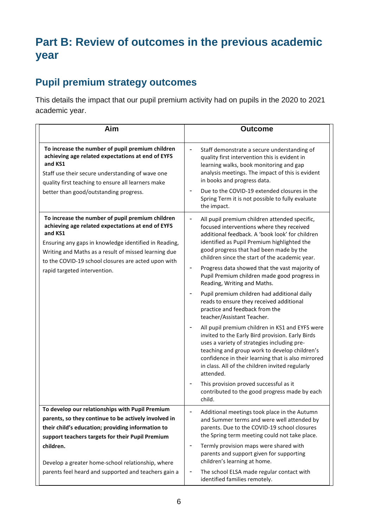# **Part B: Review of outcomes in the previous academic year**

# **Pupil premium strategy outcomes**

This details the impact that our pupil premium activity had on pupils in the 2020 to 2021 academic year.

| Aim                                                                                                                                                                                                                                                                                                                      | <b>Outcome</b>                                                                                                                                                                                                                                                                                                                                                                                                                                                            |
|--------------------------------------------------------------------------------------------------------------------------------------------------------------------------------------------------------------------------------------------------------------------------------------------------------------------------|---------------------------------------------------------------------------------------------------------------------------------------------------------------------------------------------------------------------------------------------------------------------------------------------------------------------------------------------------------------------------------------------------------------------------------------------------------------------------|
| To increase the number of pupil premium children<br>achieving age related expectations at end of EYFS<br>and KS1<br>Staff use their secure understanding of wave one<br>quality first teaching to ensure all learners make                                                                                               | Staff demonstrate a secure understanding of<br>quality first intervention this is evident in<br>learning walks, book monitoring and gap<br>analysis meetings. The impact of this is evident<br>in books and progress data.                                                                                                                                                                                                                                                |
| better than good/outstanding progress.                                                                                                                                                                                                                                                                                   | Due to the COVID-19 extended closures in the<br>Spring Term it is not possible to fully evaluate<br>the impact.                                                                                                                                                                                                                                                                                                                                                           |
| To increase the number of pupil premium children<br>achieving age related expectations at end of EYFS<br>and KS1<br>Ensuring any gaps in knowledge identified in Reading,<br>Writing and Maths as a result of missed learning due<br>to the COVID-19 school closures are acted upon with<br>rapid targeted intervention. | All pupil premium children attended specific,<br>focused interventions where they received<br>additional feedback. A 'book look' for children<br>identified as Pupil Premium highlighted the<br>good progress that had been made by the<br>children since the start of the academic year.<br>Progress data showed that the vast majority of<br>Pupil Premium children made good progress in<br>Reading, Writing and Maths.<br>Pupil premium children had additional daily |
|                                                                                                                                                                                                                                                                                                                          | reads to ensure they received additional<br>practice and feedback from the<br>teacher/Assistant Teacher.                                                                                                                                                                                                                                                                                                                                                                  |
|                                                                                                                                                                                                                                                                                                                          | All pupil premium children in KS1 and EYFS were<br>invited to the Early Bird provision. Early Birds<br>uses a variety of strategies including pre-<br>teaching and group work to develop children's<br>confidence in their learning that is also mirrored<br>in class. All of the children invited regularly<br>attended.                                                                                                                                                 |
|                                                                                                                                                                                                                                                                                                                          | This provision proved successful as it<br>contributed to the good progress made by each<br>child.                                                                                                                                                                                                                                                                                                                                                                         |
| To develop our relationships with Pupil Premium<br>parents, so they continue to be actively involved in<br>their child's education; providing information to<br>support teachers targets for their Pupil Premium                                                                                                         | Additional meetings took place in the Autumn<br>and Summer terms and were well attended by<br>parents. Due to the COVID-19 school closures<br>the Spring term meeting could not take place.                                                                                                                                                                                                                                                                               |
| children.<br>Develop a greater home-school relationship, where                                                                                                                                                                                                                                                           | Termly provision maps were shared with<br>parents and support given for supporting<br>children's learning at home.                                                                                                                                                                                                                                                                                                                                                        |
| parents feel heard and supported and teachers gain a                                                                                                                                                                                                                                                                     | The school ELSA made regular contact with<br>identified families remotely.                                                                                                                                                                                                                                                                                                                                                                                                |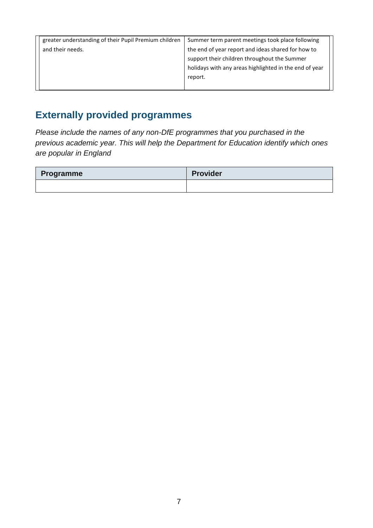| greater understanding of their Pupil Premium children | Summer term parent meetings took place following       |
|-------------------------------------------------------|--------------------------------------------------------|
| and their needs.                                      | the end of year report and ideas shared for how to     |
|                                                       | support their children throughout the Summer           |
|                                                       | holidays with any areas highlighted in the end of year |
|                                                       | report.                                                |
|                                                       |                                                        |

# **Externally provided programmes**

*Please include the names of any non-DfE programmes that you purchased in the previous academic year. This will help the Department for Education identify which ones are popular in England*

| Programme | Provider |
|-----------|----------|
|           |          |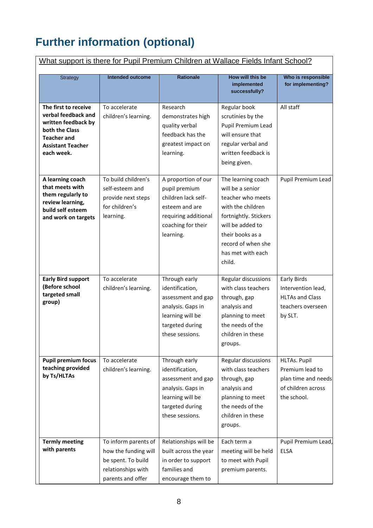# **Further information (optional)**

| What support is there for Pupil Premium Children at Wallace Fields Infant School?                                                                    |                                                                                                               |                                                                                                                                          |                                                                                                                                                                                                        |                                                                                             |  |
|------------------------------------------------------------------------------------------------------------------------------------------------------|---------------------------------------------------------------------------------------------------------------|------------------------------------------------------------------------------------------------------------------------------------------|--------------------------------------------------------------------------------------------------------------------------------------------------------------------------------------------------------|---------------------------------------------------------------------------------------------|--|
| <b>Strategy</b>                                                                                                                                      | <b>Intended outcome</b>                                                                                       | <b>Rationale</b>                                                                                                                         | How will this be<br>implemented<br>successfully?                                                                                                                                                       | Who is responsible<br>for implementing?                                                     |  |
| The first to receive<br>verbal feedback and<br>written feedback by<br>both the Class<br><b>Teacher and</b><br><b>Assistant Teacher</b><br>each week. | To accelerate<br>children's learning.                                                                         | Research<br>demonstrates high<br>quality verbal<br>feedback has the<br>greatest impact on<br>learning.                                   | Regular book<br>scrutinies by the<br>Pupil Premium Lead<br>will ensure that<br>regular verbal and<br>written feedback is<br>being given.                                                               | All staff                                                                                   |  |
| A learning coach<br>that meets with<br>them regularly to<br>review learning,<br>build self esteem<br>and work on targets                             | To build children's<br>self-esteem and<br>provide next steps<br>for children's<br>learning.                   | A proportion of our<br>pupil premium<br>children lack self-<br>esteem and are<br>requiring additional<br>coaching for their<br>learning. | The learning coach<br>will be a senior<br>teacher who meets<br>with the children<br>fortnightly. Stickers<br>will be added to<br>their books as a<br>record of when she<br>has met with each<br>child. | Pupil Premium Lead                                                                          |  |
| <b>Early Bird support</b><br>(Before school<br>targeted small<br>group)                                                                              | To accelerate<br>children's learning.                                                                         | Through early<br>identification,<br>assessment and gap<br>analysis. Gaps in<br>learning will be<br>targeted during<br>these sessions.    | Regular discussions<br>with class teachers<br>through, gap<br>analysis and<br>planning to meet<br>the needs of the<br>children in these<br>groups.                                                     | Early Birds<br>Intervention lead,<br><b>HLTAs and Class</b><br>teachers overseen<br>by SLT. |  |
| <b>Pupil premium focus</b><br>teaching provided<br>by Ts/HLTAs                                                                                       | To accelerate<br>children's learning.                                                                         | Through early<br>identification,<br>assessment and gap<br>analysis. Gaps in<br>learning will be<br>targeted during<br>these sessions.    | Regular discussions<br>with class teachers<br>through, gap<br>analysis and<br>planning to meet<br>the needs of the<br>children in these<br>groups.                                                     | HLTAs. Pupil<br>Premium lead to<br>plan time and needs<br>of children across<br>the school. |  |
| <b>Termly meeting</b><br>with parents                                                                                                                | To inform parents of<br>how the funding will<br>be spent. To build<br>relationships with<br>parents and offer | Relationships will be<br>built across the year<br>in order to support<br>families and<br>encourage them to                               | Each term a<br>meeting will be held<br>to meet with Pupil<br>premium parents.                                                                                                                          | Pupil Premium Lead,<br><b>ELSA</b>                                                          |  |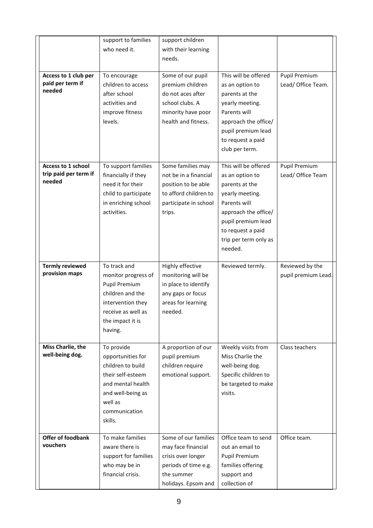|                                                       | support to families<br>who need it.                                                                                                                        | support children<br>with their learning<br>needs.                                                                             |                                                                                                                                                                                                     |                                        |
|-------------------------------------------------------|------------------------------------------------------------------------------------------------------------------------------------------------------------|-------------------------------------------------------------------------------------------------------------------------------|-----------------------------------------------------------------------------------------------------------------------------------------------------------------------------------------------------|----------------------------------------|
| Access to 1 club per<br>paid per term if<br>needed    | To encourage<br>children to access<br>after school<br>activities and<br>improve fitness<br>levels.                                                         | Some of our pupil<br>premium children<br>do not aces after<br>school clubs. A<br>minority have poor<br>health and fitness.    | This will be offered<br>as an option to<br>parents at the<br>yearly meeting.<br>Parents will<br>approach the office/<br>pupil premium lead<br>to request a paid<br>club per term.                   | Pupil Premium<br>Lead/ Office Team.    |
| Access to 1 school<br>trip paid per term if<br>needed | To support families<br>financially if they<br>need it for their<br>child to participate<br>in enriching school<br>activities.                              | Some families may<br>not be in a financial<br>position to be able<br>to afford children to<br>participate in school<br>trips. | This will be offered<br>as an option to<br>parents at the<br>yearly meeting.<br>Parents will<br>approach the office/<br>pupil premium lead<br>to request a paid<br>trip per term only as<br>needed. | Pupil Premium<br>Lead/ Office Team     |
| <b>Termly reviewed</b><br>provision maps              | To track and<br>monitor progress of<br><b>Pupil Premium</b><br>children and the<br>intervention they<br>receive as well as<br>the impact it is<br>having.  | Highly effective<br>monitoring will be<br>in place to identify<br>any gaps or focus<br>areas for learning<br>needed.          | Reviewed termly.                                                                                                                                                                                    | Reviewed by the<br>pupil premium Lead. |
| Miss Charlie, the<br>well-being dog.                  | To provide<br>opportunities for<br>children to build<br>their self-esteem<br>and mental health<br>and well-being as<br>well as<br>communication<br>skills. | A proportion of our<br>pupil premium<br>children require<br>emotional support.                                                | Weekly visits from<br>Miss Charlie the<br>well-being dog.<br>Specific children to<br>be targeted to make<br>visits.                                                                                 | Class teachers                         |
| <b>Offer of foodbank</b><br>vouchers                  | To make families<br>aware there is<br>support for families<br>who may be in<br>financial crisis.                                                           | Some of our families<br>may face financial<br>crisis over longer<br>periods of time e.g.<br>the summer<br>holidays. Epsom and | Office team to send<br>out an email to<br>Pupil Premium<br>families offering<br>support and<br>collection of                                                                                        | Office team.                           |